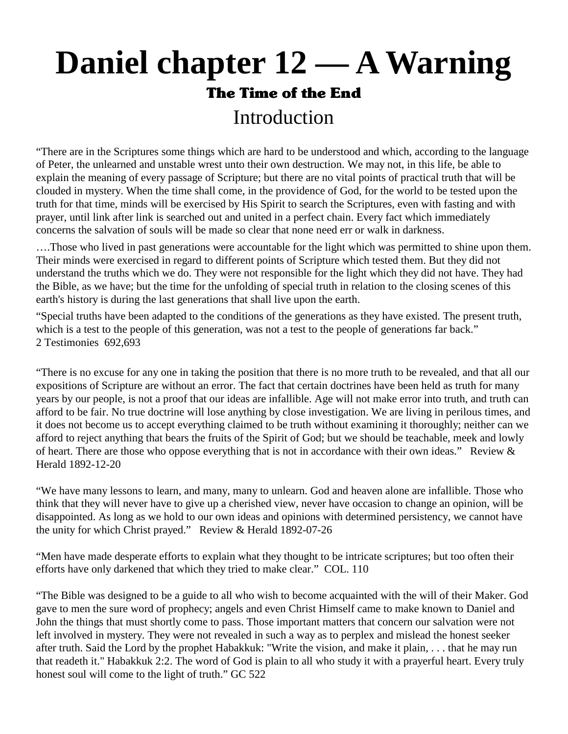# **Daniel chapter 12 — A Warning**  The Time of the End Introduction

"There are in the Scriptures some things which are hard to be understood and which, according to the language of Peter, the unlearned and unstable wrest unto their own destruction. We may not, in this life, be able to explain the meaning of every passage of Scripture; but there are no vital points of practical truth that will be clouded in mystery. When the time shall come, in the providence of God, for the world to be tested upon the truth for that time, minds will be exercised by His Spirit to search the Scriptures, even with fasting and with prayer, until link after link is searched out and united in a perfect chain. Every fact which immediately concerns the salvation of souls will be made so clear that none need err or walk in darkness.

….Those who lived in past generations were accountable for the light which was permitted to shine upon them. Their minds were exercised in regard to different points of Scripture which tested them. But they did not understand the truths which we do. They were not responsible for the light which they did not have. They had the Bible, as we have; but the time for the unfolding of special truth in relation to the closing scenes of this earth's history is during the last generations that shall live upon the earth.

"Special truths have been adapted to the conditions of the generations as they have existed. The present truth, which is a test to the people of this generation, was not a test to the people of generations far back." 2 Testimonies 692,693

"There is no excuse for any one in taking the position that there is no more truth to be revealed, and that all our expositions of Scripture are without an error. The fact that certain doctrines have been held as truth for many years by our people, is not a proof that our ideas are infallible. Age will not make error into truth, and truth can afford to be fair. No true doctrine will lose anything by close investigation. We are living in perilous times, and it does not become us to accept everything claimed to be truth without examining it thoroughly; neither can we afford to reject anything that bears the fruits of the Spirit of God; but we should be teachable, meek and lowly of heart. There are those who oppose everything that is not in accordance with their own ideas." Review  $\&$ Herald 1892-12-20

"We have many lessons to learn, and many, many to unlearn. God and heaven alone are infallible. Those who think that they will never have to give up a cherished view, never have occasion to change an opinion, will be disappointed. As long as we hold to our own ideas and opinions with determined persistency, we cannot have the unity for which Christ prayed." Review & Herald 1892-07-26

"Men have made desperate efforts to explain what they thought to be intricate scriptures; but too often their efforts have only darkened that which they tried to make clear." COL. 110

"The Bible was designed to be a guide to all who wish to become acquainted with the will of their Maker. God gave to men the sure word of prophecy; angels and even Christ Himself came to make known to Daniel and John the things that must shortly come to pass. Those important matters that concern our salvation were not left involved in mystery. They were not revealed in such a way as to perplex and mislead the honest seeker after truth. Said the Lord by the prophet Habakkuk: "Write the vision, and make it plain, . . . that he may run that readeth it." Habakkuk 2:2. The word of God is plain to all who study it with a prayerful heart. Every truly honest soul will come to the light of truth." GC 522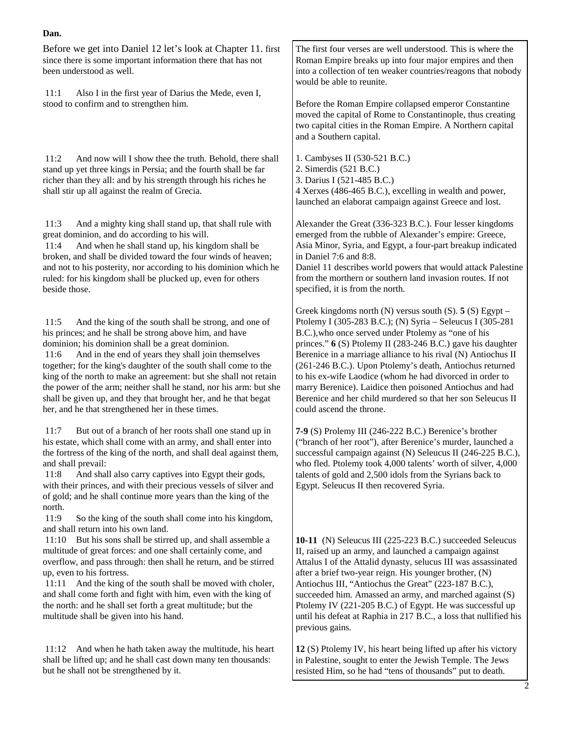Before we get into Daniel 12 let's look at Chapter 11. first since there is some important information there that has not been understood as well.

 11:1 Also I in the first year of Darius the Mede, even I, stood to confirm and to strengthen him.

 11:2 And now will I show thee the truth. Behold, there shall stand up yet three kings in Persia; and the fourth shall be far richer than they all: and by his strength through his riches he shall stir up all against the realm of Grecia.

 11:3 And a mighty king shall stand up, that shall rule with great dominion, and do according to his will.

 11:4 And when he shall stand up, his kingdom shall be broken, and shall be divided toward the four winds of heaven; and not to his posterity, nor according to his dominion which he ruled: for his kingdom shall be plucked up, even for others beside those.

 11:5 And the king of the south shall be strong, and one of his princes; and he shall be strong above him, and have dominion; his dominion shall be a great dominion.

 11:6 And in the end of years they shall join themselves together; for the king's daughter of the south shall come to the king of the north to make an agreement: but she shall not retain the power of the arm; neither shall he stand, nor his arm: but she shall be given up, and they that brought her, and he that begat her, and he that strengthened her in these times.

 11:7 But out of a branch of her roots shall one stand up in his estate, which shall come with an army, and shall enter into the fortress of the king of the north, and shall deal against them, and shall prevail:

 11:8 And shall also carry captives into Egypt their gods, with their princes, and with their precious vessels of silver and of gold; and he shall continue more years than the king of the north.

 11:9 So the king of the south shall come into his kingdom, and shall return into his own land.

 11:10 But his sons shall be stirred up, and shall assemble a multitude of great forces: and one shall certainly come, and overflow, and pass through: then shall he return, and be stirred up, even to his fortress.

 11:11 And the king of the south shall be moved with choler, and shall come forth and fight with him, even with the king of the north: and he shall set forth a great multitude; but the multitude shall be given into his hand.

 11:12 And when he hath taken away the multitude, his heart shall be lifted up; and he shall cast down many ten thousands: but he shall not be strengthened by it.

The first four verses are well understood. This is where the Roman Empire breaks up into four major empires and then into a collection of ten weaker countries/reagons that nobody would be able to reunite.

Before the Roman Empire collapsed emperor Constantine moved the capital of Rome to Constantinople, thus creating two capital cities in the Roman Empire. A Northern capital and a Southern capital.

1. Cambyses II (530-521 B.C.) 2. Simerdis (521 B.C.) 3. Darius I (521-485 B.C.) 4 Xerxes (486-465 B.C.), excelling in wealth and power, launched an elaborat campaign against Greece and lost.

Alexander the Great (336-323 B.C.). Four lesser kingdoms emerged from the rubble of Alexander's empire: Greece, Asia Minor, Syria, and Egypt, a four-part breakup indicated in Daniel 7:6 and 8:8.

Daniel 11 describes world powers that would attack Palestine from the morthern or southern land invasion routes. If not specified, it is from the north.

Greek kingdoms north (N) versus south (S). **5** (S) Egypt – Ptolemy I (305-283 B.C.); (N) Syria – Seleucus I (305-281 B.C.),who once served under Ptolemy as "one of his princes." **6** (S) Ptolemy II (283-246 B.C.) gave his daughter Berenice in a marriage alliance to his rival (N) Antiochus II (261-246 B.C.). Upon Ptolemy's death, Antiochus returned to his ex-wife Laodice (whom he had divorced in order to marry Berenice). Laidice then poisoned Antiochus and had Berenice and her child murdered so that her son Seleucus II could ascend the throne.

**7-9** (S) Prolemy III (246-222 B.C.) Berenice's brother ("branch of her root"), after Berenice's murder, launched a successful campaign against (N) Seleucus II (246-225 B.C.), who fled. Ptolemy took 4,000 talents' worth of silver, 4,000 talents of gold and 2,500 idols from the Syrians back to Egypt. Seleucus II then recovered Syria.

**10-11** (N) Seleucus III (225-223 B.C.) succeeded Seleucus II, raised up an army, and launched a campaign against Attalus I of the Attalid dynasty, selucus III was assassinated after a brief two-year reign. His younger brother, (N) Antiochus III, "Antiochus the Great" (223-187 B.C.), succeeded him. Amassed an army, and marched against (S) Ptolemy IV (221-205 B.C.) of Egypt. He was successful up until his defeat at Raphia in 217 B.C., a loss that nullified his previous gains.

**12** (S) Ptolemy IV, his heart being lifted up after his victory in Palestine, sought to enter the Jewish Temple. The Jews resisted Him, so he had "tens of thousands" put to death.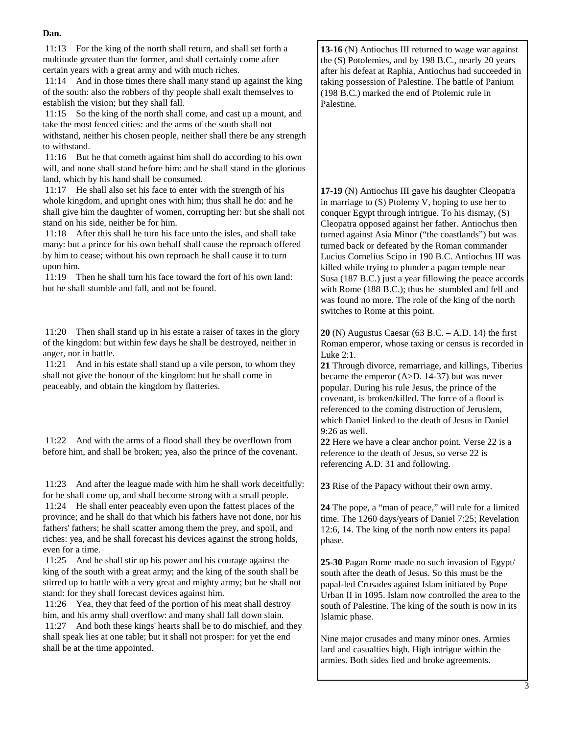11:13 For the king of the north shall return, and shall set forth a multitude greater than the former, and shall certainly come after certain years with a great army and with much riches.

 11:14 And in those times there shall many stand up against the king of the south: also the robbers of thy people shall exalt themselves to establish the vision; but they shall fall.

 11:15 So the king of the north shall come, and cast up a mount, and take the most fenced cities: and the arms of the south shall not withstand, neither his chosen people, neither shall there be any strength to withstand.

 11:16 But he that cometh against him shall do according to his own will, and none shall stand before him: and he shall stand in the glorious land, which by his hand shall be consumed.

 11:17 He shall also set his face to enter with the strength of his whole kingdom, and upright ones with him; thus shall he do: and he shall give him the daughter of women, corrupting her: but she shall not stand on his side, neither be for him.

 11:18 After this shall he turn his face unto the isles, and shall take many: but a prince for his own behalf shall cause the reproach offered by him to cease; without his own reproach he shall cause it to turn upon him.

 11:19 Then he shall turn his face toward the fort of his own land: but he shall stumble and fall, and not be found.

 11:20 Then shall stand up in his estate a raiser of taxes in the glory of the kingdom: but within few days he shall be destroyed, neither in anger, nor in battle.

 11:21 And in his estate shall stand up a vile person, to whom they shall not give the honour of the kingdom: but he shall come in peaceably, and obtain the kingdom by flatteries.

 11:22 And with the arms of a flood shall they be overflown from before him, and shall be broken; yea, also the prince of the covenant.

 11:23 And after the league made with him he shall work deceitfully: for he shall come up, and shall become strong with a small people.

 11:24 He shall enter peaceably even upon the fattest places of the province; and he shall do that which his fathers have not done, nor his fathers' fathers; he shall scatter among them the prey, and spoil, and riches: yea, and he shall forecast his devices against the strong holds, even for a time.

 11:25 And he shall stir up his power and his courage against the king of the south with a great army; and the king of the south shall be stirred up to battle with a very great and mighty army; but he shall not stand: for they shall forecast devices against him.

 11:26 Yea, they that feed of the portion of his meat shall destroy him, and his army shall overflow: and many shall fall down slain.

 11:27 And both these kings' hearts shall be to do mischief, and they shall speak lies at one table; but it shall not prosper: for yet the end shall be at the time appointed.

**13-16** (N) Antiochus III returned to wage war against the (S) Potolemies, and by 198 B.C., nearly 20 years after his defeat at Raphia, Antiochus had succeeded in taking possession of Palestine. The battle of Panium (198 B.C.) marked the end of Ptolemic rule in Palestine.

**17-19** (N) Antiochus III gave his daughter Cleopatra in marriage to (S) Ptolemy V, hoping to use her to conquer Egypt through intrigue. To his dismay, (S) Cleopatra opposed against her father. Antiochus then turned against Asia Minor ("the coastlands") but was turned back or defeated by the Roman commander Lucius Cornelius Scipo in 190 B.C. Antiochus III was killed while trying to plunder a pagan temple near Susa (187 B.C.) just a year fillowing the peace accords with Rome (188 B.C.); thus he stumbled and fell and was found no more. The role of the king of the north switches to Rome at this point.

**20** (N) Augustus Caesar (63 B.C. – A.D. 14) the first Roman emperor, whose taxing or census is recorded in Luke 2:1.

**21** Through divorce, remarriage, and killings, Tiberius became the emperor (A>D. 14-37) but was never popular. During his rule Jesus, the prince of the covenant, is broken/killed. The force of a flood is referenced to the coming distruction of Jeruslem, which Daniel linked to the death of Jesus in Daniel 9:26 as well.

**22** Here we have a clear anchor point. Verse 22 is a reference to the death of Jesus, so verse 22 is referencing A.D. 31 and following.

**23** Rise of the Papacy without their own army.

**24** The pope, a "man of peace," will rule for a limited time. The 1260 days/years of Daniel 7:25; Revelation 12:6, 14. The king of the north now enters its papal phase.

**25-30** Pagan Rome made no such invasion of Egypt/ south after the death of Jesus. So this must be the papal-led Crusades against Islam initiated by Pope Urban II in 1095. Islam now controlled the area to the south of Palestine. The king of the south is now in its Islamic phase.

Nine major crusades and many minor ones. Armies lard and casualties high. High intrigue within the armies. Both sides lied and broke agreements.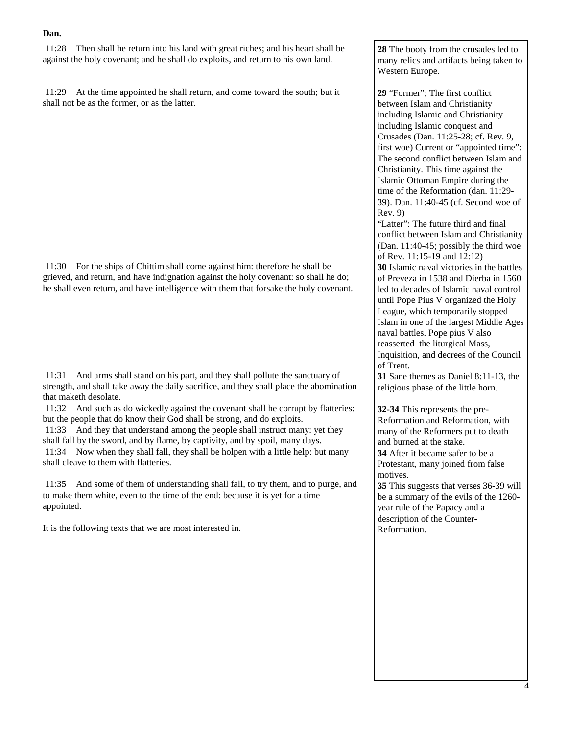11:28 Then shall he return into his land with great riches; and his heart shall be against the holy covenant; and he shall do exploits, and return to his own land.

 11:29 At the time appointed he shall return, and come toward the south; but it shall not be as the former, or as the latter.

 11:30 For the ships of Chittim shall come against him: therefore he shall be grieved, and return, and have indignation against the holy covenant: so shall he do; he shall even return, and have intelligence with them that forsake the holy covenant.

 11:31 And arms shall stand on his part, and they shall pollute the sanctuary of strength, and shall take away the daily sacrifice, and they shall place the abomination that maketh desolate.

 11:32 And such as do wickedly against the covenant shall he corrupt by flatteries: but the people that do know their God shall be strong, and do exploits.

 11:33 And they that understand among the people shall instruct many: yet they shall fall by the sword, and by flame, by captivity, and by spoil, many days. 11:34 Now when they shall fall, they shall be holpen with a little help: but many shall cleave to them with flatteries.

 11:35 And some of them of understanding shall fall, to try them, and to purge, and to make them white, even to the time of the end: because it is yet for a time appointed.

It is the following texts that we are most interested in.

**28** The booty from the crusades led to many relics and artifacts being taken to Western Europe.

**29** "Former"; The first conflict between Islam and Christianity including Islamic and Christianity including Islamic conquest and Crusades (Dan. 11:25-28; cf. Rev. 9, first woe) Current or "appointed time": The second conflict between Islam and Christianity. This time against the Islamic Ottoman Empire during the time of the Reformation (dan. 11:29- 39). Dan. 11:40-45 (cf. Second woe of Rev. 9)

"Latter": The future third and final conflict between Islam and Christianity (Dan. 11:40-45; possibly the third woe of Rev. 11:15-19 and 12:12)

**30** Islamic naval victories in the battles of Preveza in 1538 and Dierba in 1560 led to decades of Islamic naval control until Pope Pius V organized the Holy League, which temporarily stopped Islam in one of the largest Middle Ages naval battles. Pope pius V also reasserted the liturgical Mass, Inquisition, and decrees of the Council of Trent.

**31** Sane themes as Daniel 8:11-13, the religious phase of the little horn.

**32-34** This represents the pre-Reformation and Reformation, with many of the Reformers put to death and burned at the stake. **34** After it became safer to be a

Protestant, many joined from false motives.

**35** This suggests that verses 36-39 will be a summary of the evils of the 1260 year rule of the Papacy and a description of the Counter-Reformation.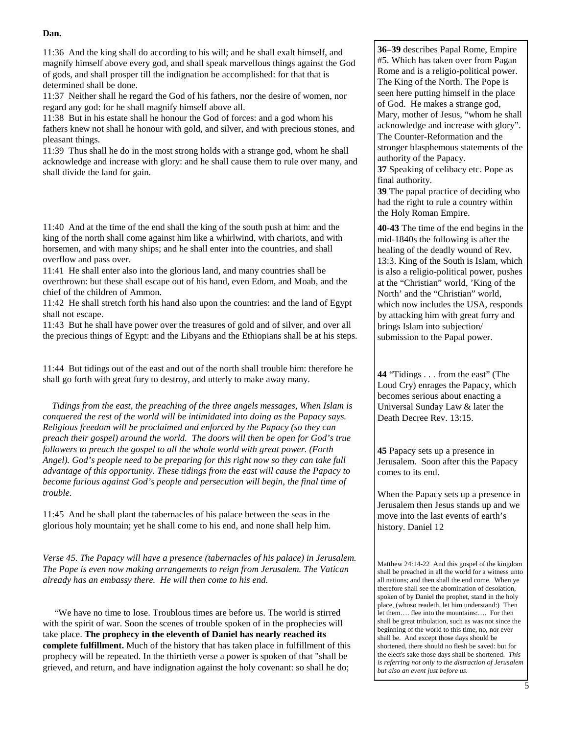11:36 And the king shall do according to his will; and he shall exalt himself, and magnify himself above every god, and shall speak marvellous things against the God of gods, and shall prosper till the indignation be accomplished: for that that is determined shall be done.

11:37 Neither shall he regard the God of his fathers, nor the desire of women, nor regard any god: for he shall magnify himself above all.

11:38 But in his estate shall he honour the God of forces: and a god whom his fathers knew not shall he honour with gold, and silver, and with precious stones, and pleasant things.

11:39 Thus shall he do in the most strong holds with a strange god, whom he shall acknowledge and increase with glory: and he shall cause them to rule over many, and shall divide the land for gain.

11:40 And at the time of the end shall the king of the south push at him: and the king of the north shall come against him like a whirlwind, with chariots, and with horsemen, and with many ships; and he shall enter into the countries, and shall overflow and pass over.

11:41 He shall enter also into the glorious land, and many countries shall be overthrown: but these shall escape out of his hand, even Edom, and Moab, and the chief of the children of Ammon.

11:42 He shall stretch forth his hand also upon the countries: and the land of Egypt shall not escape.

11:43 But he shall have power over the treasures of gold and of silver, and over all the precious things of Egypt: and the Libyans and the Ethiopians shall be at his steps.

11:44 But tidings out of the east and out of the north shall trouble him: therefore he shall go forth with great fury to destroy, and utterly to make away many.

 *Tidings from the east, the preaching of the three angels messages, When Islam is conquered the rest of the world will be intimidated into doing as the Papacy says. Religious freedom will be proclaimed and enforced by the Papacy (so they can preach their gospel) around the world. The doors will then be open for God's true followers to preach the gospel to all the whole world with great power. (Forth Angel). God's people need to be preparing for this right now so they can take full advantage of this opportunity. These tidings from the east will cause the Papacy to become furious against God's people and persecution will begin, the final time of trouble.* 

11:45 And he shall plant the tabernacles of his palace between the seas in the glorious holy mountain; yet he shall come to his end, and none shall help him.

*Verse 45. The Papacy will have a presence (tabernacles of his palace) in Jerusalem. The Pope is even now making arrangements to reign from Jerusalem. The Vatican already has an embassy there. He will then come to his end.*

 "We have no time to lose. Troublous times are before us. The world is stirred with the spirit of war. Soon the scenes of trouble spoken of in the prophecies will take place. **The prophecy in the eleventh of Daniel has nearly reached its complete fulfillment.** Much of the history that has taken place in fulfillment of this prophecy will be repeated. In the thirtieth verse a power is spoken of that "shall be grieved, and return, and have indignation against the holy covenant: so shall he do;

**36–39** describes Papal Rome, Empire #5. Which has taken over from Pagan Rome and is a religio-political power. The King of the North. The Pope is seen here putting himself in the place of God. He makes a strange god, Mary, mother of Jesus, "whom he shall acknowledge and increase with glory". The Counter-Reformation and the stronger blasphemous statements of the authority of the Papacy.

**37** Speaking of celibacy etc. Pope as final authority.

**39** The papal practice of deciding who had the right to rule a country within the Holy Roman Empire.

**40-43** The time of the end begins in the mid-1840s the following is after the healing of the deadly wound of Rev. 13:3. King of the South is Islam, which is also a religio-political power, pushes at the "Christian" world, 'King of the North' and the "Christian" world, which now includes the USA, responds by attacking him with great furry and brings Islam into subjection/ submission to the Papal power.

**44** "Tidings . . . from the east" (The Loud Cry) enrages the Papacy, which becomes serious about enacting a Universal Sunday Law & later the Death Decree Rev. 13:15.

**45** Papacy sets up a presence in Jerusalem. Soon after this the Papacy comes to its end.

When the Papacy sets up a presence in Jerusalem then Jesus stands up and we move into the last events of earth's history. Daniel 12

Matthew 24:14-22 And this gospel of the kingdom shall be preached in all the world for a witness unto all nations; and then shall the end come. When ye therefore shall see the abomination of desolation, spoken of by Daniel the prophet, stand in the holy place, (whoso readeth, let him understand:) Then let them…. flee into the mountains:…. For then shall be great tribulation, such as was not since the beginning of the world to this time, no, nor ever shall be. And except those days should be shortened, there should no flesh be saved: but for the elect's sake those days shall be shortened. *This is referring not only to the distraction of Jerusalem but also an event just before us.* 

5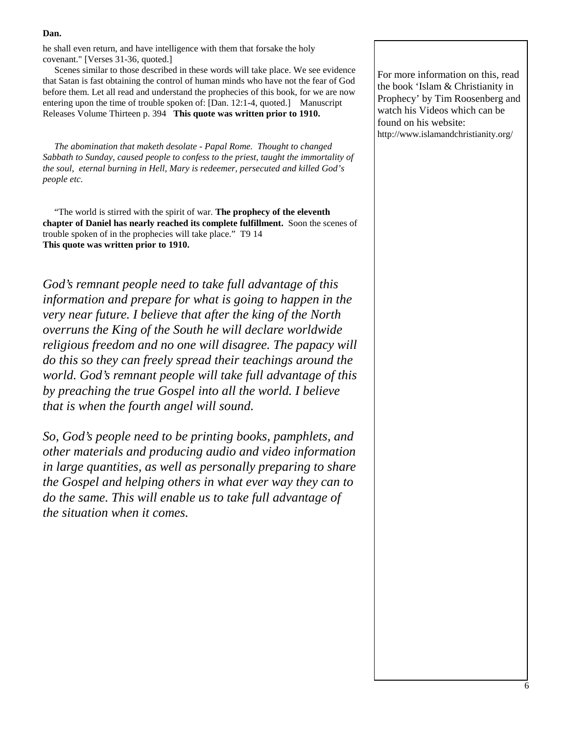he shall even return, and have intelligence with them that forsake the holy covenant." [Verses 31-36, quoted.]

 Scenes similar to those described in these words will take place. We see evidence that Satan is fast obtaining the control of human minds who have not the fear of God before them. Let all read and understand the prophecies of this book, for we are now entering upon the time of trouble spoken of: [Dan. 12:1-4, quoted.] Manuscript Releases Volume Thirteen p. 394 **This quote was written prior to 1910.**

 *The abomination that maketh desolate - Papal Rome. Thought to changed Sabbath to Sunday, caused people to confess to the priest, taught the immortality of the soul, eternal burning in Hell, Mary is redeemer, persecuted and killed God's people etc.* 

 "The world is stirred with the spirit of war. **The prophecy of the eleventh chapter of Daniel has nearly reached its complete fulfillment.** Soon the scenes of trouble spoken of in the prophecies will take place." T9 14 **This quote was written prior to 1910.** 

*God's remnant people need to take full advantage of this information and prepare for what is going to happen in the very near future. I believe that after the king of the North overruns the King of the South he will declare worldwide religious freedom and no one will disagree. The papacy will do this so they can freely spread their teachings around the world. God's remnant people will take full advantage of this by preaching the true Gospel into all the world. I believe that is when the fourth angel will sound.* 

*So, God's people need to be printing books, pamphlets, and other materials and producing audio and video information in large quantities, as well as personally preparing to share the Gospel and helping others in what ever way they can to do the same. This will enable us to take full advantage of the situation when it comes.* 

For more information on this, read the book 'Islam & Christianity in Prophecy' by Tim Roosenberg and watch his Videos which can be found on his website: http://www.islamandchristianity.org/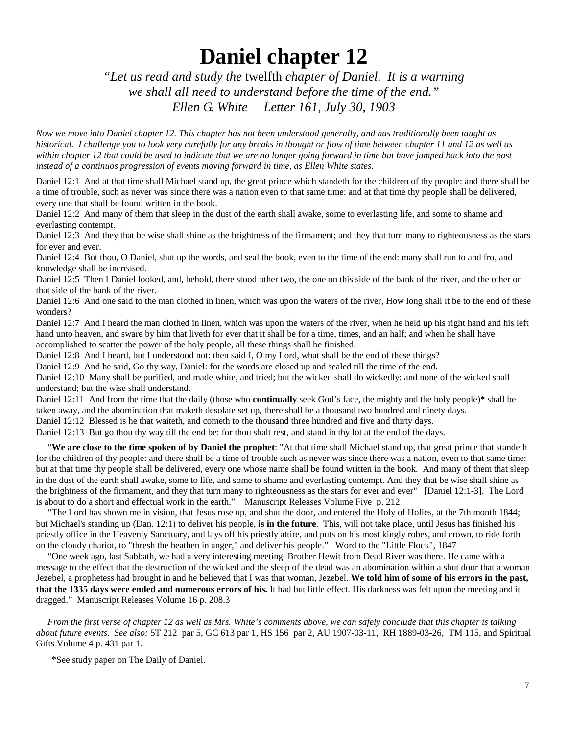## **Daniel chapter 12**

*"Let us read and study the* twelfth *chapter of Daniel. It is a warning we shall all need to understand before the time of the end." Ellen G. White Letter 161, July 30, 1903* 

*Now we move into Daniel chapter 12. This chapter has not been understood generally, and has traditionally been taught as historical. I challenge you to look very carefully for any breaks in thought or flow of time between chapter 11 and 12 as well as within chapter 12 that could be used to indicate that we are no longer going forward in time but have jumped back into the past instead of a continuos progression of events moving forward in time, as Ellen White states.* 

Daniel 12:1 And at that time shall Michael stand up, the great prince which standeth for the children of thy people: and there shall be a time of trouble, such as never was since there was a nation even to that same time: and at that time thy people shall be delivered, every one that shall be found written in the book.

Daniel 12:2 And many of them that sleep in the dust of the earth shall awake, some to everlasting life, and some to shame and everlasting contempt.

Daniel 12:3 And they that be wise shall shine as the brightness of the firmament; and they that turn many to righteousness as the stars for ever and ever.

Daniel 12:4 But thou, O Daniel, shut up the words, and seal the book, even to the time of the end: many shall run to and fro, and knowledge shall be increased.

Daniel 12:5 Then I Daniel looked, and, behold, there stood other two, the one on this side of the bank of the river, and the other on that side of the bank of the river.

Daniel 12:6 And one said to the man clothed in linen, which was upon the waters of the river, How long shall it be to the end of these wonders?

Daniel 12:7 And I heard the man clothed in linen, which was upon the waters of the river, when he held up his right hand and his left hand unto heaven, and sware by him that liveth for ever that it shall be for a time, times, and an half; and when he shall have accomplished to scatter the power of the holy people, all these things shall be finished.

Daniel 12:8 And I heard, but I understood not: then said I, O my Lord, what shall be the end of these things?

Daniel 12:9 And he said, Go thy way, Daniel: for the words are closed up and sealed till the time of the end.

Daniel 12:10 Many shall be purified, and made white, and tried; but the wicked shall do wickedly: and none of the wicked shall understand; but the wise shall understand.

Daniel 12:11 And from the time that the daily (those who **continually** seek God's face, the mighty and the holy people)**\*** shall be taken away, and the abomination that maketh desolate set up, there shall be a thousand two hundred and ninety days.

Daniel 12:12 Blessed is he that waiteth, and cometh to the thousand three hundred and five and thirty days.

Daniel 12:13 But go thou thy way till the end be: for thou shalt rest, and stand in thy lot at the end of the days.

 "**We are close to the time spoken of by Daniel the prophet**: "At that time shall Michael stand up, that great prince that standeth for the children of thy people: and there shall be a time of trouble such as never was since there was a nation, even to that same time: but at that time thy people shall be delivered, every one whose name shall be found written in the book. And many of them that sleep in the dust of the earth shall awake, some to life, and some to shame and everlasting contempt. And they that be wise shall shine as the brightness of the firmament, and they that turn many to righteousness as the stars for ever and ever" [Daniel 12:1-3]. The Lord is about to do a short and effectual work in the earth."Manuscript Releases Volume Five p. 212

 "The Lord has shown me in vision, that Jesus rose up, and shut the door, and entered the Holy of Holies, at the 7th month 1844; but Michael's standing up (Dan. 12:1) to deliver his people, **is in the future**. This, will not take place, until Jesus has finished his priestly office in the Heavenly Sanctuary, and lays off his priestly attire, and puts on his most kingly robes, and crown, to ride forth on the cloudy chariot, to "thresh the heathen in anger," and deliver his people." Word to the "Little Flock", 1847

 "One week ago, last Sabbath, we had a very interesting meeting. Brother Hewit from Dead River was there. He came with a message to the effect that the destruction of the wicked and the sleep of the dead was an abomination within a shut door that a woman Jezebel, a prophetess had brought in and he believed that I was that woman, Jezebel. **We told him of some of his errors in the past, that the 1335 days were ended and numerous errors of his.** It had but little effect. His darkness was felt upon the meeting and it dragged." Manuscript Releases Volume 16 p. 208.3

 *From the first verse of chapter 12 as well as Mrs. White's comments above, we can safely conclude that this chapter is talking about future events. See also:* 5T 212 par 5, GC 613 par 1, HS 156 par 2, AU 1907-03-11, RH 1889-03-26, TM 115, and Spiritual Gifts Volume 4 p. 431 par 1.

\*See study paper on The Daily of Daniel.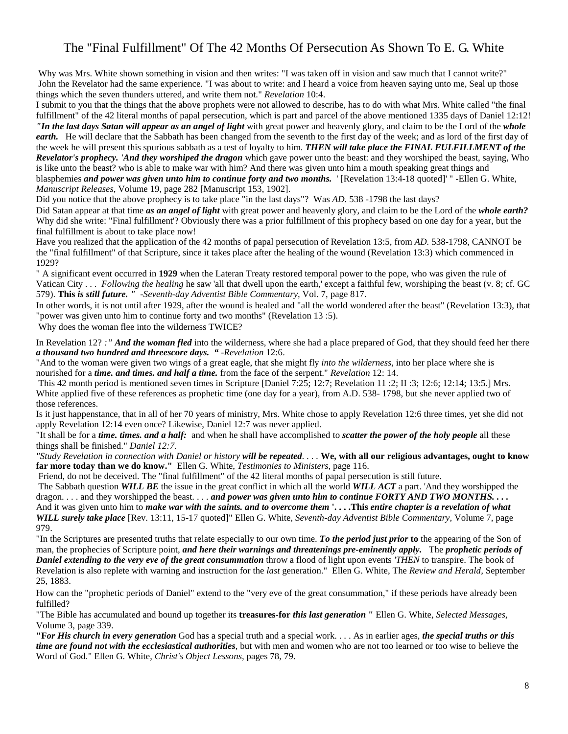## The "Final Fulfillment" Of The 42 Months Of Persecution As Shown To E. G. White

 Why was Mrs. White shown something in vision and then writes: "I was taken off in vision and saw much that I cannot write?" John the Revelator had the same experience. "I was about to write: and I heard a voice from heaven saying unto me, Seal up those things which the seven thunders uttered, and write them not." *Revelation* 10:4.

I submit to you that the things that the above prophets were not allowed to describe, has to do with what Mrs. White called "the final fulfillment" of the 42 literal months of papal persecution, which is part and parcel of the above mentioned 1335 days of Daniel 12:12! *"In the last days Satan will appear as an angel of light* with great power and heavenly glory, and claim to be the Lord of the *whole earth.* He will declare that the Sabbath has been changed from the seventh to the first day of the week; and as lord of the first day of the week he will present this spurious sabbath as a test of loyalty to him. *THEN will take place the FINAL FULFILLMENT of the Revelator's prophecy. 'And they worshiped the dragon* which gave power unto the beast: and they worshiped the beast, saying, Who is like unto the beast? who is able to make war with him? And there was given unto him a mouth speaking great things and blasphemies *and power was given unto him to continue forty and two months.* ' [Revelation 13:4-18 quoted]' " -Ellen G. White, *Manuscript Releases,* Volume 19, page 282 [Manuscript 153, 1902].

Did you notice that the above prophecy is to take place "in the last days"? Was *AD.* 538 -1798 the last days?

Did Satan appear at that time *as an angel of light* with great power and heavenly glory, and claim to be the Lord of the *whole earth?*  Why did she write: "Final fulfillment'? Obviously there was a prior fulfillment of this prophecy based on one day for a year, but the final fulfillment is about to take place now!

Have you realized that the application of the 42 months of papal persecution of Revelation 13:5, from *AD.* 538-1798, CANNOT be the "final fulfillment" of that Scripture, since it takes place after the healing of the wound (Revelation 13:3) which commenced in 1929?

" A significant event occurred in **1929** when the Lateran Treaty restored temporal power to the pope, who was given the rule of Vatican City . . . *Following the healing* he saw 'all that dwell upon the earth,' except a faithful few, worshiping the beast (v. 8; cf. GC 579). **This** *is still future. " -Seventh-day Adventist Bible Commentary,* Vol. 7, page 817.

In other words, it is not until after 1929, after the wound is healed and "all the world wondered after the beast" (Revelation 13:3), that "power was given unto him to continue forty and two months" (Revelation 13 :5).

Why does the woman flee into the wilderness TWICE?

In Revelation 12? *:" And the woman fled* into the wilderness, where she had a place prepared of God, that they should feed her there *a thousand two hundred and threescore days. "* -*Revelation* 12:6.

"And to the woman were given two wings of a great eagle, that she might fly *into the wilderness,* into her place where she is nourished for a *time. and times. and half a time.* from the face of the serpent." *Revelation* 12: 14.

 This 42 month period is mentioned seven times in Scripture [Daniel 7:25; 12:7; Revelation 11 :2; II :3; 12:6; 12:14; 13:5.] Mrs. White applied five of these references as prophetic time (one day for a year), from A.D. 538-1798, but she never applied two of those references.

Is it just happenstance, that in all of her 70 years of ministry, Mrs. White chose to apply Revelation 12:6 three times, yet she did not apply Revelation 12:14 even once? Likewise, Daniel 12:7 was never applied.

"It shall be for a *time. times. and a half:* and when he shall have accomplished to *scatter the power of the holy people* all these things shall be finished." *Daniel 12:7.* 

*"Study Revelation in connection with Daniel or history will be repeated. . . .* **We, with all our religious advantages, ought to know far more today than we do know."** Ellen G. White, *Testimonies to Ministers,* page 116.

Friend, do not be deceived. The "final fulfillment" of the 42 literal months of papal persecution is still future.

 The Sabbath question *WILL BE* the issue in the great conflict in which all the world *WILL ACT* a part. 'And they worshipped the dragon. . . . and they worshipped the beast. . . . *and power was given unto him to continue FORTY AND TWO MONTHS.* . . . And it was given unto him to *make war with the saints. and to overcome them* **'. . . .This** *entire chapter is a revelation of what WILL surely take place* [Rev. 13:11, 15-17 quoted]" Ellen G. White, *Seventh-day Adventist Bible Commentary,* Volume 7, page 979.

"In the Scriptures are presented truths that relate especially to our own time. *To the period just prior* **to** the appearing of the Son of man, the prophecies of Scripture point, *and here their warnings and threatenings pre-eminently apply.* The *prophetic periods of Daniel extending to the very eve of the great consummation* throw a flood of light upon events *'THEN* to transpire. The book of Revelation is also replete with warning and instruction for the *last* generation." Ellen G. White, The *Review and Herald,* September 25, 1883.

How can the "prophetic periods of Daniel" extend to the "very eve of the great consummation," if these periods have already been fulfilled?

"The Bible has accumulated and bound up together its **treasures-for** *this last generation* **"** Ellen G. White, *Selected Messages,*  Volume 3, page 339.

**"F***or His church in every generation* God has a special truth and a special work. . . . As in earlier ages, *the special truths or this time are found not with the ecclesiastical authorities,* but with men and women who are not too learned or too wise to believe the Word of God." Ellen G. White, *Christ's Object Lessons,* pages 78, 79.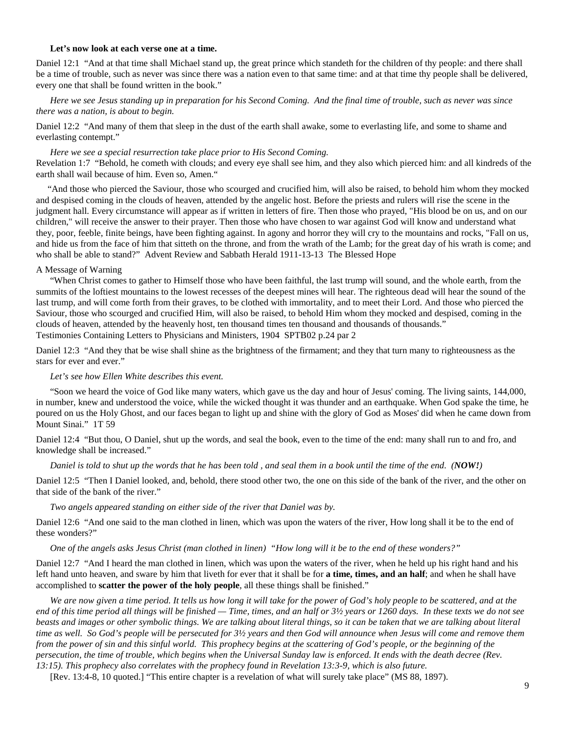#### **Let's now look at each verse one at a time.**

Daniel 12:1 "And at that time shall Michael stand up, the great prince which standeth for the children of thy people: and there shall be a time of trouble, such as never was since there was a nation even to that same time: and at that time thy people shall be delivered, every one that shall be found written in the book."

#### *Here we see Jesus standing up in preparation for his Second Coming. And the final time of trouble, such as never was since there was a nation, is about to begin.*

Daniel 12:2 "And many of them that sleep in the dust of the earth shall awake, some to everlasting life, and some to shame and everlasting contempt."

#### *Here we see a special resurrection take place prior to His Second Coming.*

Revelation 1:7 "Behold, he cometh with clouds; and every eye shall see him, and they also which pierced him: and all kindreds of the earth shall wail because of him. Even so, Amen."

 "And those who pierced the Saviour, those who scourged and crucified him, will also be raised, to behold him whom they mocked and despised coming in the clouds of heaven, attended by the angelic host. Before the priests and rulers will rise the scene in the judgment hall. Every circumstance will appear as if written in letters of fire. Then those who prayed, "His blood be on us, and on our children," will receive the answer to their prayer. Then those who have chosen to war against God will know and understand what they, poor, feeble, finite beings, have been fighting against. In agony and horror they will cry to the mountains and rocks, "Fall on us, and hide us from the face of him that sitteth on the throne, and from the wrath of the Lamb; for the great day of his wrath is come; and who shall be able to stand?" Advent Review and Sabbath Herald 1911-13-13 The Blessed Hope

#### A Message of Warning

 "When Christ comes to gather to Himself those who have been faithful, the last trump will sound, and the whole earth, from the summits of the loftiest mountains to the lowest recesses of the deepest mines will hear. The righteous dead will hear the sound of the last trump, and will come forth from their graves, to be clothed with immortality, and to meet their Lord. And those who pierced the Saviour, those who scourged and crucified Him, will also be raised, to behold Him whom they mocked and despised, coming in the clouds of heaven, attended by the heavenly host, ten thousand times ten thousand and thousands of thousands."

Testimonies Containing Letters to Physicians and Ministers, 1904 SPTB02 p.24 par 2

Daniel 12:3 "And they that be wise shall shine as the brightness of the firmament; and they that turn many to righteousness as the stars for ever and ever."

#### *Let's see how Ellen White describes this event.*

 "Soon we heard the voice of God like many waters, which gave us the day and hour of Jesus' coming. The living saints, 144,000, in number, knew and understood the voice, while the wicked thought it was thunder and an earthquake. When God spake the time, he poured on us the Holy Ghost, and our faces began to light up and shine with the glory of God as Moses' did when he came down from Mount Sinai." 1T 59

Daniel 12:4 "But thou, O Daniel, shut up the words, and seal the book, even to the time of the end: many shall run to and fro, and knowledge shall be increased."

 *Daniel is told to shut up the words that he has been told , and seal them in a book until the time of the end. (NOW!)* 

Daniel 12:5 "Then I Daniel looked, and, behold, there stood other two, the one on this side of the bank of the river, and the other on that side of the bank of the river."

#### *Two angels appeared standing on either side of the river that Daniel was by.*

Daniel 12:6 "And one said to the man clothed in linen, which was upon the waters of the river, How long shall it be to the end of these wonders?"

 *One of the angels asks Jesus Christ (man clothed in linen) "How long will it be to the end of these wonders?"* 

Daniel 12:7 "And I heard the man clothed in linen, which was upon the waters of the river, when he held up his right hand and his left hand unto heaven, and sware by him that liveth for ever that it shall be for **a time, times, and an half**; and when he shall have accomplished to **scatter the power of the holy people**, all these things shall be finished."

 *We are now given a time period. It tells us how long it will take for the power of God's holy people to be scattered, and at the end of this time period all things will be finished — Time, times, and an half or 3½ years or 1260 days. In these texts we do not see*  beasts and images or other symbolic things. We are talking about literal things, so it can be taken that we are talking about literal *time as well. So God's people will be persecuted for 3½ years and then God will announce when Jesus will come and remove them from the power of sin and this sinful world. This prophecy begins at the scattering of God's people, or the beginning of the persecution, the time of trouble, which begins when the Universal Sunday law is enforced. It ends with the death decree (Rev. 13:15). This prophecy also correlates with the prophecy found in Revelation 13:3-9, which is also future.*

[Rev. 13:4-8, 10 quoted.] "This entire chapter is a revelation of what will surely take place" (MS 88, 1897).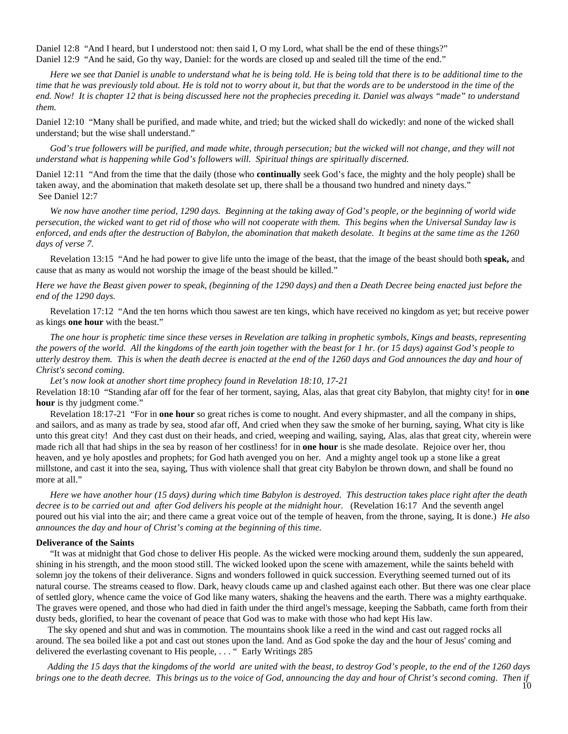Daniel 12:8 "And I heard, but I understood not: then said I, O my Lord, what shall be the end of these things?" Daniel 12:9 "And he said, Go thy way, Daniel: for the words are closed up and sealed till the time of the end."

 *Here we see that Daniel is unable to understand what he is being told. He is being told that there is to be additional time to the time that he was previously told about. He is told not to worry about it, but that the words are to be understood in the time of the end. Now! It is chapter 12 that is being discussed here not the prophecies preceding it. Daniel was always "made" to understand them.* 

Daniel 12:10 "Many shall be purified, and made white, and tried; but the wicked shall do wickedly: and none of the wicked shall understand; but the wise shall understand."

God's true followers will be purified, and made white, through persecution; but the wicked will not change, and they will not *understand what is happening while God's followers will. Spiritual things are spiritually discerned.* 

Daniel 12:11 "And from the time that the daily (those who **continually** seek God's face, the mighty and the holy people) shall be taken away, and the abomination that maketh desolate set up, there shall be a thousand two hundred and ninety days." See Daniel 12:7

 *We now have another time period, 1290 days. Beginning at the taking away of God's people, or the beginning of world wide persecution, the wicked want to get rid of those who will not cooperate with them. This begins when the Universal Sunday law is enforced, and ends after the destruction of Babylon, the abomination that maketh desolate. It begins at the same time as the 1260 days of verse 7.* 

 Revelation 13:15 "And he had power to give life unto the image of the beast, that the image of the beast should both **speak,** and cause that as many as would not worship the image of the beast should be killed."

*Here we have the Beast given power to speak, (beginning of the 1290 days) and then a Death Decree being enacted just before the end of the 1290 days.* 

 Revelation 17:12 "And the ten horns which thou sawest are ten kings, which have received no kingdom as yet; but receive power as kings **one hour** with the beast."

 *The one hour is prophetic time since these verses in Revelation are talking in prophetic symbols, Kings and beasts, representing the powers of the world. All the kingdoms of the earth join together with the beast for 1 hr. (or 15 days) against God's people to utterly destroy them. This is when the death decree is enacted at the end of the 1260 days and God announces the day and hour of Christ's second coming.* 

 *Let's now look at another short time prophecy found in Revelation 18:10, 17-21* 

Revelation 18:10 "Standing afar off for the fear of her torment, saying, Alas, alas that great city Babylon, that mighty city! for in **one hour** is thy judgment come."

 Revelation 18:17-21 "For in **one hour** so great riches is come to nought. And every shipmaster, and all the company in ships, and sailors, and as many as trade by sea, stood afar off, And cried when they saw the smoke of her burning, saying, What city is like unto this great city! And they cast dust on their heads, and cried, weeping and wailing, saying, Alas, alas that great city, wherein were made rich all that had ships in the sea by reason of her costliness! for in **one hour** is she made desolate. Rejoice over her, thou heaven, and ye holy apostles and prophets; for God hath avenged you on her. And a mighty angel took up a stone like a great millstone, and cast it into the sea, saying, Thus with violence shall that great city Babylon be thrown down, and shall be found no more at all."

 *Here we have another hour (15 days) during which time Babylon is destroyed. This destruction takes place right after the death*  decree is to be carried out and after God delivers his people at the midnight hour. (Revelation 16:17 And the seventh angel poured out his vial into the air; and there came a great voice out of the temple of heaven, from the throne, saying, It is done.) *He also announces the day and hour of Christ's coming at the beginning of this time.* 

#### **Deliverance of the Saints**

 "It was at midnight that God chose to deliver His people. As the wicked were mocking around them, suddenly the sun appeared, shining in his strength, and the moon stood still. The wicked looked upon the scene with amazement, while the saints beheld with solemn joy the tokens of their deliverance. Signs and wonders followed in quick succession. Everything seemed turned out of its natural course. The streams ceased to flow. Dark, heavy clouds came up and clashed against each other. But there was one clear place of settled glory, whence came the voice of God like many waters, shaking the heavens and the earth. There was a mighty earthquake. The graves were opened, and those who had died in faith under the third angel's message, keeping the Sabbath, came forth from their dusty beds, glorified, to hear the covenant of peace that God was to make with those who had kept His law.

 The sky opened and shut and was in commotion. The mountains shook like a reed in the wind and cast out ragged rocks all around. The sea boiled like a pot and cast out stones upon the land. And as God spoke the day and the hour of Jesus' coming and delivered the everlasting covenant to His people, . . . " Early Writings 285

 *Adding the 15 days that the kingdoms of the world are united with the beast, to destroy God's people, to the end of the 1260 days brings one to the death decree. This brings us to the voice of God, announcing the day and hour of Christ's second coming. Then if*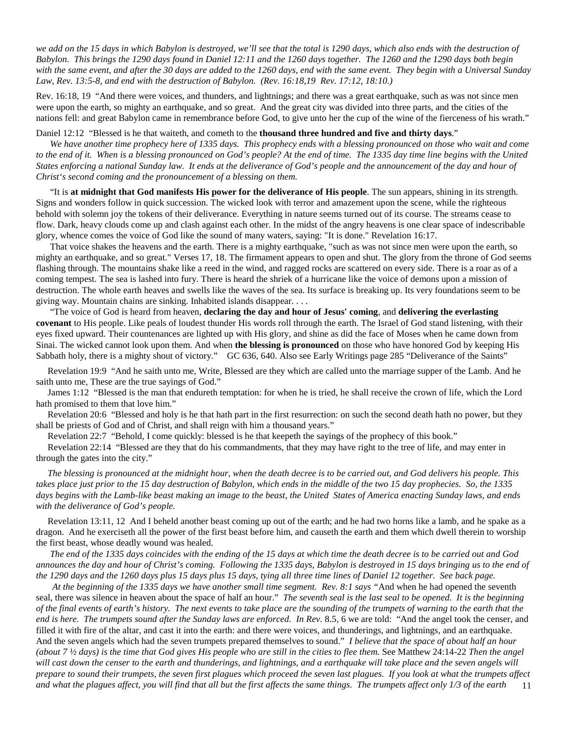*we add on the 15 days in which Babylon is destroyed, we'll see that the total is 1290 days, which also ends with the destruction of Babylon. This brings the 1290 days found in Daniel 12:11 and the 1260 days together. The 1260 and the 1290 days both begin with the same event, and after the 30 days are added to the 1260 days, end with the same event. They begin with a Universal Sunday Law, Rev. 13:5-8, and end with the destruction of Babylon. (Rev. 16:18,19 Rev. 17:12, 18:10.)* 

Rev. 16:18, 19 "And there were voices, and thunders, and lightnings; and there was a great earthquake, such as was not since men were upon the earth, so mighty an earthquake, and so great. And the great city was divided into three parts, and the cities of the nations fell: and great Babylon came in remembrance before God, to give unto her the cup of the wine of the fierceness of his wrath."

Daniel 12:12 "Blessed is he that waiteth, and cometh to the **thousand three hundred and five and thirty days**."

 *We have another time prophecy here of 1335 days. This prophecy ends with a blessing pronounced on those who wait and come to the end of it. When is a blessing pronounced on God's people? At the end of time. The 1335 day time line begins with the United States enforcing a national Sunday law. It ends at the deliverance of God's people and the announcement of the day and hour of Christ's second coming and the pronouncement of a blessing on them.* 

 "It is **at midnight that God manifests His power for the deliverance of His people**. The sun appears, shining in its strength. Signs and wonders follow in quick succession. The wicked look with terror and amazement upon the scene, while the righteous behold with solemn joy the tokens of their deliverance. Everything in nature seems turned out of its course. The streams cease to flow. Dark, heavy clouds come up and clash against each other. In the midst of the angry heavens is one clear space of indescribable glory, whence comes the voice of God like the sound of many waters, saying: "It is done." Revelation 16:17.

 That voice shakes the heavens and the earth. There is a mighty earthquake, "such as was not since men were upon the earth, so mighty an earthquake, and so great." Verses 17, 18. The firmament appears to open and shut. The glory from the throne of God seems flashing through. The mountains shake like a reed in the wind, and ragged rocks are scattered on every side. There is a roar as of a coming tempest. The sea is lashed into fury. There is heard the shriek of a hurricane like the voice of demons upon a mission of destruction. The whole earth heaves and swells like the waves of the sea. Its surface is breaking up. Its very foundations seem to be giving way. Mountain chains are sinking. Inhabited islands disappear. . . .

 "The voice of God is heard from heaven, **declaring the day and hour of Jesus' coming**, and **delivering the everlasting covenant** to His people. Like peals of loudest thunder His words roll through the earth. The Israel of God stand listening, with their eyes fixed upward. Their countenances are lighted up with His glory, and shine as did the face of Moses when he came down from Sinai. The wicked cannot look upon them. And when **the blessing is pronounced** on those who have honored God by keeping His Sabbath holy, there is a mighty shout of victory." GC 636, 640. Also see Early Writings page 285 "Deliverance of the Saints"

 Revelation 19:9 "And he saith unto me, Write, Blessed are they which are called unto the marriage supper of the Lamb. And he saith unto me, These are the true sayings of God."

 James 1:12 "Blessed is the man that endureth temptation: for when he is tried, he shall receive the crown of life, which the Lord hath promised to them that love him."

 Revelation 20:6 "Blessed and holy is he that hath part in the first resurrection: on such the second death hath no power, but they shall be priests of God and of Christ, and shall reign with him a thousand years."

Revelation 22:7 "Behold, I come quickly: blessed is he that keepeth the sayings of the prophecy of this book."

 Revelation 22:14 "Blessed are they that do his commandments, that they may have right to the tree of life, and may enter in through the gates into the city."

 *The blessing is pronounced at the midnight hour, when the death decree is to be carried out, and God delivers his people. This takes place just prior to the 15 day destruction of Babylon, which ends in the middle of the two 15 day prophecies. So, the 1335 days begins with the Lamb-like beast making an image to the beast, the United States of America enacting Sunday laws, and ends with the deliverance of God's people.* 

 Revelation 13:11, 12 And I beheld another beast coming up out of the earth; and he had two horns like a lamb, and he spake as a dragon. And he exerciseth all the power of the first beast before him, and causeth the earth and them which dwell therein to worship the first beast, whose deadly wound was healed.

 *The end of the 1335 days coincides with the ending of the 15 days at which time the death decree is to be carried out and God announces the day and hour of Christ's coming. Following the 1335 days, Babylon is destroyed in 15 days bringing us to the end of the 1290 days and the 1260 days plus 15 days plus 15 days, tying all three time lines of Daniel 12 together. See back page.* 

11  *At the beginning of the 1335 days we have another small time segment. Rev. 8:1 says "*And when he had opened the seventh seal, there was silence in heaven about the space of half an hour." *The seventh seal is the last seal to be opened. It is the beginning of the final events of earth's history. The next events to take place are the sounding of the trumpets of warning to the earth that the*  end is here. The trumpets sound after the Sunday laws are enforced. In Rev. 8.5, 6 we are told: "And the angel took the censer, and filled it with fire of the altar, and cast it into the earth: and there were voices, and thunderings, and lightnings, and an earthquake. And the seven angels which had the seven trumpets prepared themselves to sound." *I believe that the space of about half an hour*  (about 7  $\frac{1}{2}$  days) is the time that God gives His people who are still in the cities to flee them. See Matthew 24:14-22 Then the angel will cast down the censer to the earth and thunderings, and lightnings, and a earthquake will take place and the seven angels will *prepare to sound their trumpets, the seven first plagues which proceed the seven last plagues. If you look at what the trumpets affect and what the plagues affect, you will find that all but the first affects the same things. The trumpets affect only 1/3 of the earth*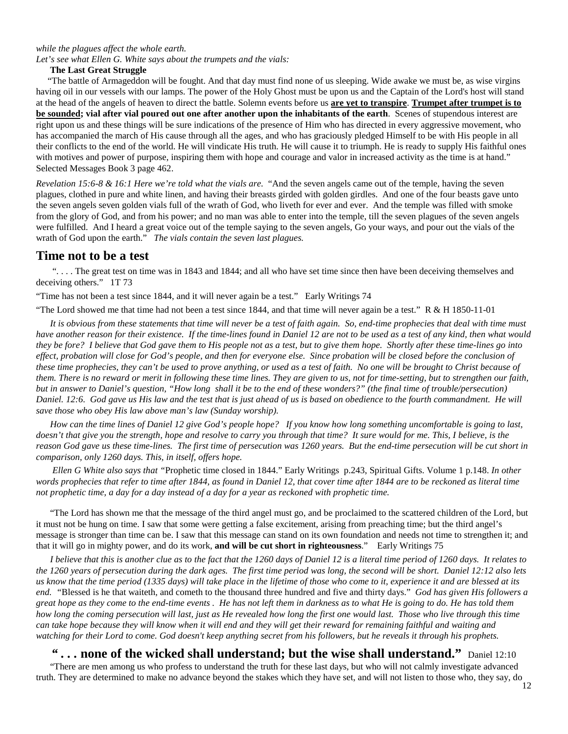#### *while the plagues affect the whole earth.*

*Let's see what Ellen G. White says about the trumpets and the vials:* 

#### **The Last Great Struggle**

 "The battle of Armageddon will be fought. And that day must find none of us sleeping. Wide awake we must be, as wise virgins having oil in our vessels with our lamps. The power of the Holy Ghost must be upon us and the Captain of the Lord's host will stand at the head of the angels of heaven to direct the battle. Solemn events before us **are yet to transpire**. **Trumpet after trumpet is to be sounded; vial after vial poured out one after another upon the inhabitants of the earth**. Scenes of stupendous interest are right upon us and these things will be sure indications of the presence of Him who has directed in every aggressive movement, who has accompanied the march of His cause through all the ages, and who has graciously pledged Himself to be with His people in all their conflicts to the end of the world. He will vindicate His truth. He will cause it to triumph. He is ready to supply His faithful ones with motives and power of purpose, inspiring them with hope and courage and valor in increased activity as the time is at hand." Selected Messages Book 3 page 462.

*Revelation 15:6-8 & 16:1 Here we're told what the vials are.* "And the seven angels came out of the temple, having the seven plagues, clothed in pure and white linen, and having their breasts girded with golden girdles. And one of the four beasts gave unto the seven angels seven golden vials full of the wrath of God, who liveth for ever and ever. And the temple was filled with smoke from the glory of God, and from his power; and no man was able to enter into the temple, till the seven plagues of the seven angels were fulfilled. And I heard a great voice out of the temple saying to the seven angels, Go your ways, and pour out the vials of the wrath of God upon the earth." *The vials contain the seven last plagues.* 

#### **Time not to be a test**

 ". . . . The great test on time was in 1843 and 1844; and all who have set time since then have been deceiving themselves and deceiving others." 1T 73

"Time has not been a test since 1844, and it will never again be a test." Early Writings 74

"The Lord showed me that time had not been a test since 1844, and that time will never again be a test."  $R \& H$  1850-11-01

 *It is obvious from these statements that time will never be a test of faith again. So, end-time prophecies that deal with time must have another reason for their existence. If the time-lines found in Daniel 12 are not to be used as a test of any kind, then what would they be fore? I believe that God gave them to His people not as a test, but to give them hope. Shortly after these time-lines go into effect, probation will close for God's people, and then for everyone else. Since probation will be closed before the conclusion of these time prophecies, they can't be used to prove anything, or used as a test of faith. No one will be brought to Christ because of them. There is no reward or merit in following these time lines. They are given to us, not for time-setting, but to strengthen our faith, but in answer to Daniel's question, "How long shall it be to the end of these wonders?" (the final time of trouble/persecution) Daniel. 12:6. God gave us His law and the test that is just ahead of us is based on obedience to the fourth commandment. He will save those who obey His law above man's law (Sunday worship).* 

 *How can the time lines of Daniel 12 give God's people hope? If you know how long something uncomfortable is going to last, doesn't that give you the strength, hope and resolve to carry you through that time? It sure would for me. This, I believe, is the reason God gave us these time-lines. The first time of persecution was 1260 years. But the end-time persecution will be cut short in comparison, only 1260 days. This, in itself, offers hope.* 

 *Ellen G White also says that "*Prophetic time closed in 1844." Early Writings p.243, Spiritual Gifts. Volume 1 p.148. *In other words prophecies that refer to time after 1844, as found in Daniel 12, that cover time after 1844 are to be reckoned as literal time not prophetic time, a day for a day instead of a day for a year as reckoned with prophetic time.* 

 "The Lord has shown me that the message of the third angel must go, and be proclaimed to the scattered children of the Lord, but it must not be hung on time. I saw that some were getting a false excitement, arising from preaching time; but the third angel's message is stronger than time can be. I saw that this message can stand on its own foundation and needs not time to strengthen it; and that it will go in mighty power, and do its work, **and will be cut short in righteousness**." Early Writings 75

 *I believe that this is another clue as to the fact that the 1260 days of Daniel 12 is a literal time period of 1260 days. It relates to the 1260 years of persecution during the dark ages. The first time period was long, the second will be short. Daniel 12:12 also lets us know that the time period (1335 days) will take place in the lifetime of those who come to it, experience it and are blessed at its end. "*Blessed is he that waiteth, and cometh to the thousand three hundred and five and thirty days." *God has given His followers a great hope as they come to the end-time events . He has not left them in darkness as to what He is going to do. He has told them how long the coming persecution will last, just as He revealed how long the first one would last. Those who live through this time can take hope because they will know when it will end and they will get their reward for remaining faithful and waiting and watching for their Lord to come. God doesn't keep anything secret from his followers, but he reveals it through his prophets.* 

*" . . .* **none of the wicked shall understand; but the wise shall understand."** Daniel 12:10 "There are men among us who profess to understand the truth for these last days, but who will not calmly investigate advanced truth. They are determined to make no advance beyond the stakes which they have set, and will not listen to those who, they say, do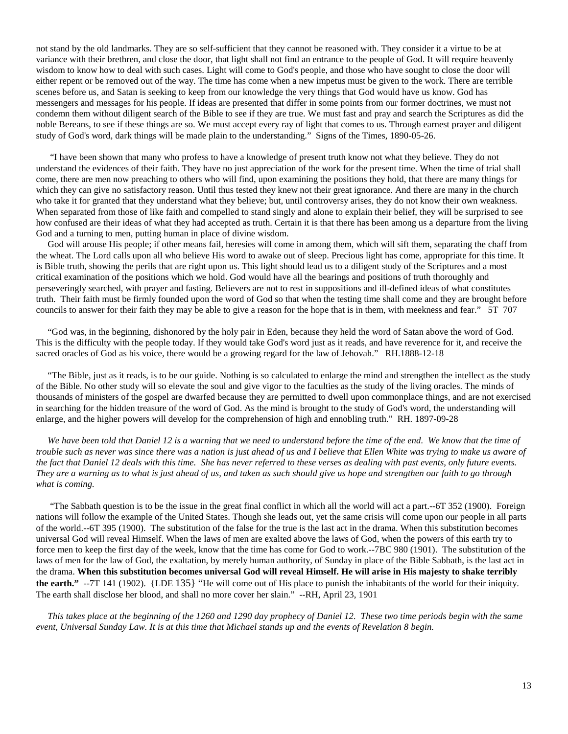not stand by the old landmarks. They are so self-sufficient that they cannot be reasoned with. They consider it a virtue to be at variance with their brethren, and close the door, that light shall not find an entrance to the people of God. It will require heavenly wisdom to know how to deal with such cases. Light will come to God's people, and those who have sought to close the door will either repent or be removed out of the way. The time has come when a new impetus must be given to the work. There are terrible scenes before us, and Satan is seeking to keep from our knowledge the very things that God would have us know. God has messengers and messages for his people. If ideas are presented that differ in some points from our former doctrines, we must not condemn them without diligent search of the Bible to see if they are true. We must fast and pray and search the Scriptures as did the noble Bereans, to see if these things are so. We must accept every ray of light that comes to us. Through earnest prayer and diligent study of God's word, dark things will be made plain to the understanding." Signs of the Times, 1890-05-26.

 "I have been shown that many who profess to have a knowledge of present truth know not what they believe. They do not understand the evidences of their faith. They have no just appreciation of the work for the present time. When the time of trial shall come, there are men now preaching to others who will find, upon examining the positions they hold, that there are many things for which they can give no satisfactory reason. Until thus tested they knew not their great ignorance. And there are many in the church who take it for granted that they understand what they believe; but, until controversy arises, they do not know their own weakness. When separated from those of like faith and compelled to stand singly and alone to explain their belief, they will be surprised to see how confused are their ideas of what they had accepted as truth. Certain it is that there has been among us a departure from the living God and a turning to men, putting human in place of divine wisdom.

 God will arouse His people; if other means fail, heresies will come in among them, which will sift them, separating the chaff from the wheat. The Lord calls upon all who believe His word to awake out of sleep. Precious light has come, appropriate for this time. It is Bible truth, showing the perils that are right upon us. This light should lead us to a diligent study of the Scriptures and a most critical examination of the positions which we hold. God would have all the bearings and positions of truth thoroughly and perseveringly searched, with prayer and fasting. Believers are not to rest in suppositions and ill-defined ideas of what constitutes truth. Their faith must be firmly founded upon the word of God so that when the testing time shall come and they are brought before councils to answer for their faith they may be able to give a reason for the hope that is in them, with meekness and fear." 5T 707

 "God was, in the beginning, dishonored by the holy pair in Eden, because they held the word of Satan above the word of God. This is the difficulty with the people today. If they would take God's word just as it reads, and have reverence for it, and receive the sacred oracles of God as his voice, there would be a growing regard for the law of Jehovah." RH.1888-12-18

 "The Bible, just as it reads, is to be our guide. Nothing is so calculated to enlarge the mind and strengthen the intellect as the study of the Bible. No other study will so elevate the soul and give vigor to the faculties as the study of the living oracles. The minds of thousands of ministers of the gospel are dwarfed because they are permitted to dwell upon commonplace things, and are not exercised in searching for the hidden treasure of the word of God. As the mind is brought to the study of God's word, the understanding will enlarge, and the higher powers will develop for the comprehension of high and ennobling truth." RH. 1897-09-28

We have been told that Daniel 12 is a warning that we need to understand before the time of the end. We know that the time of *trouble such as never was since there was a nation is just ahead of us and I believe that Ellen White was trying to make us aware of the fact that Daniel 12 deals with this time. She has never referred to these verses as dealing with past events, only future events. They are a warning as to what is just ahead of us, and taken as such should give us hope and strengthen our faith to go through what is coming.* 

 "The Sabbath question is to be the issue in the great final conflict in which all the world will act a part.--6T 352 (1900). Foreign nations will follow the example of the United States. Though she leads out, yet the same crisis will come upon our people in all parts of the world.--6T 395 (1900). The substitution of the false for the true is the last act in the drama. When this substitution becomes universal God will reveal Himself. When the laws of men are exalted above the laws of God, when the powers of this earth try to force men to keep the first day of the week, know that the time has come for God to work.--7BC 980 (1901). The substitution of the laws of men for the law of God, the exaltation, by merely human authority, of Sunday in place of the Bible Sabbath, is the last act in the drama. **When this substitution becomes universal God will reveal Himself. He will arise in His majesty to shake terribly the earth."** --7T 141 (1902). {LDE 135} "He will come out of His place to punish the inhabitants of the world for their iniquity. The earth shall disclose her blood, and shall no more cover her slain." --RH, April 23, 1901

 *This takes place at the beginning of the 1260 and 1290 day prophecy of Daniel 12. These two time periods begin with the same event, Universal Sunday Law. It is at this time that Michael stands up and the events of Revelation 8 begin.*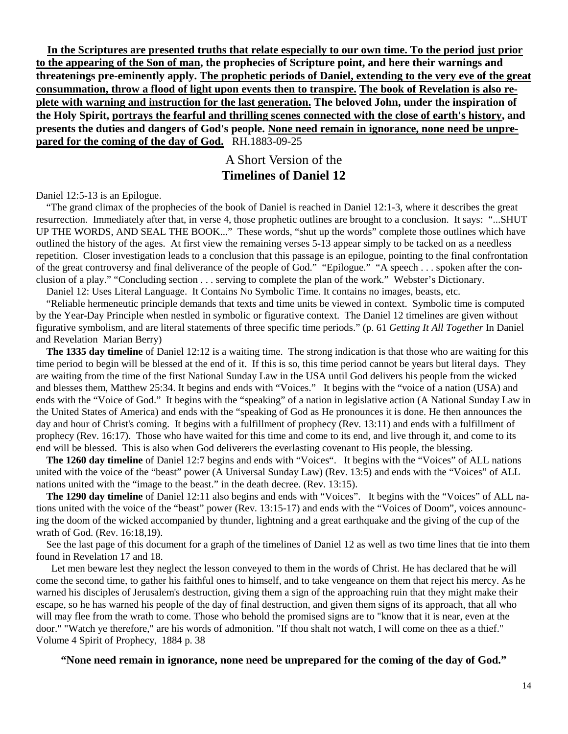**In the Scriptures are presented truths that relate especially to our own time. To the period just prior to the appearing of the Son of man, the prophecies of Scripture point, and here their warnings and threatenings pre-eminently apply. The prophetic periods of Daniel, extending to the very eve of the great consummation, throw a flood of light upon events then to transpire. The book of Revelation is also replete with warning and instruction for the last generation. The beloved John, under the inspiration of the Holy Spirit, portrays the fearful and thrilling scenes connected with the close of earth's history, and presents the duties and dangers of God's people. None need remain in ignorance, none need be unprepared for the coming of the day of God.** RH.1883-09-25

### A Short Version of the **Timelines of Daniel 12**

Daniel 12:5-13 is an Epilogue.

 "The grand climax of the prophecies of the book of Daniel is reached in Daniel 12:1-3, where it describes the great resurrection. Immediately after that, in verse 4, those prophetic outlines are brought to a conclusion. It says: "...SHUT UP THE WORDS, AND SEAL THE BOOK..." These words, "shut up the words" complete those outlines which have outlined the history of the ages. At first view the remaining verses 5-13 appear simply to be tacked on as a needless repetition. Closer investigation leads to a conclusion that this passage is an epilogue, pointing to the final confrontation of the great controversy and final deliverance of the people of God." "Epilogue." "A speech . . . spoken after the conclusion of a play." "Concluding section . . . serving to complete the plan of the work." Webster's Dictionary.

Daniel 12: Uses Literal Language. It Contains No Symbolic Time. It contains no images, beasts, etc.

 "Reliable hermeneutic principle demands that texts and time units be viewed in context. Symbolic time is computed by the Year-Day Principle when nestled in symbolic or figurative context. The Daniel 12 timelines are given without figurative symbolism, and are literal statements of three specific time periods." (p. 61 *Getting It All Together* In Daniel and Revelation Marian Berry)

 **The 1335 day timeline** of Daniel 12:12 is a waiting time. The strong indication is that those who are waiting for this time period to begin will be blessed at the end of it. If this is so, this time period cannot be years but literal days. They are waiting from the time of the first National Sunday Law in the USA until God delivers his people from the wicked and blesses them, Matthew 25:34. It begins and ends with "Voices." It begins with the "voice of a nation (USA) and ends with the "Voice of God." It begins with the "speaking" of a nation in legislative action (A National Sunday Law in the United States of America) and ends with the "speaking of God as He pronounces it is done. He then announces the day and hour of Christ's coming. It begins with a fulfillment of prophecy (Rev. 13:11) and ends with a fulfillment of prophecy (Rev. 16:17). Those who have waited for this time and come to its end, and live through it, and come to its end will be blessed. This is also when God deliverers the everlasting covenant to His people, the blessing.

 **The 1260 day timeline** of Daniel 12:7 begins and ends with "Voices". It begins with the "Voices" of ALL nations united with the voice of the "beast" power (A Universal Sunday Law) (Rev. 13:5) and ends with the "Voices" of ALL nations united with the "image to the beast." in the death decree. (Rev. 13:15).

 **The 1290 day timeline** of Daniel 12:11 also begins and ends with "Voices". It begins with the "Voices" of ALL nations united with the voice of the "beast" power (Rev. 13:15-17) and ends with the "Voices of Doom", voices announcing the doom of the wicked accompanied by thunder, lightning and a great earthquake and the giving of the cup of the wrath of God. (Rev. 16:18,19).

 See the last page of this document for a graph of the timelines of Daniel 12 as well as two time lines that tie into them found in Revelation 17 and 18.

 Let men beware lest they neglect the lesson conveyed to them in the words of Christ. He has declared that he will come the second time, to gather his faithful ones to himself, and to take vengeance on them that reject his mercy. As he warned his disciples of Jerusalem's destruction, giving them a sign of the approaching ruin that they might make their escape, so he has warned his people of the day of final destruction, and given them signs of its approach, that all who will may flee from the wrath to come. Those who behold the promised signs are to "know that it is near, even at the door." "Watch ye therefore," are his words of admonition. "If thou shalt not watch, I will come on thee as a thief." Volume 4 Spirit of Prophecy, 1884 p. 38

#### **"None need remain in ignorance, none need be unprepared for the coming of the day of God."**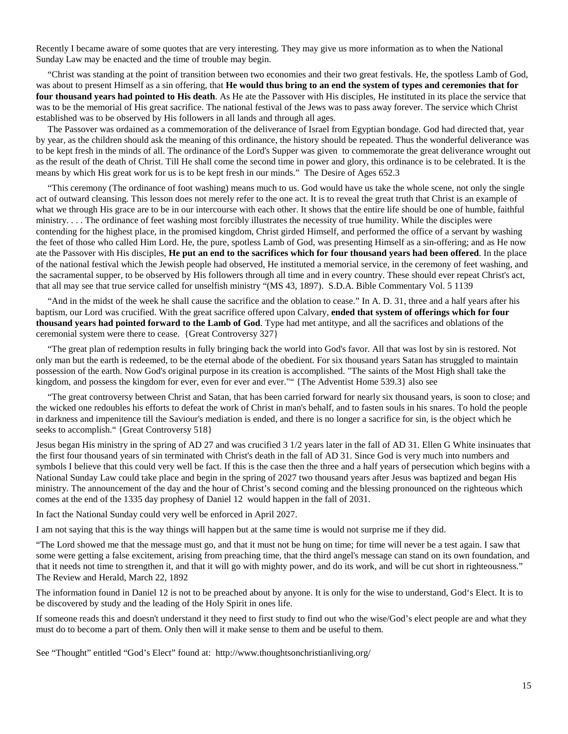Recently I became aware of some quotes that are very interesting. They may give us more information as to when the National Sunday Law may be enacted and the time of trouble may begin.

 "Christ was standing at the point of transition between two economies and their two great festivals. He, the spotless Lamb of God, was about to present Himself as a sin offering, that **He would thus bring to an end the system of types and ceremonies that for four thousand years had pointed to His death**. As He ate the Passover with His disciples, He instituted in its place the service that was to be the memorial of His great sacrifice. The national festival of the Jews was to pass away forever. The service which Christ established was to be observed by His followers in all lands and through all ages.

 The Passover was ordained as a commemoration of the deliverance of Israel from Egyptian bondage. God had directed that, year by year, as the children should ask the meaning of this ordinance, the history should be repeated. Thus the wonderful deliverance was to be kept fresh in the minds of all. The ordinance of the Lord's Supper was given to commemorate the great deliverance wrought out as the result of the death of Christ. Till He shall come the second time in power and glory, this ordinance is to be celebrated. It is the means by which His great work for us is to be kept fresh in our minds." The Desire of Ages 652.3

 "This ceremony (The ordinance of foot washing) means much to us. God would have us take the whole scene, not only the single act of outward cleansing. This lesson does not merely refer to the one act. It is to reveal the great truth that Christ is an example of what we through His grace are to be in our intercourse with each other. It shows that the entire life should be one of humble, faithful ministry. . . . The ordinance of feet washing most forcibly illustrates the necessity of true humility. While the disciples were contending for the highest place, in the promised kingdom, Christ girded Himself, and performed the office of a servant by washing the feet of those who called Him Lord. He, the pure, spotless Lamb of God, was presenting Himself as a sin-offering; and as He now ate the Passover with His disciples, **He put an end to the sacrifices which for four thousand years had been offered**. In the place of the national festival which the Jewish people had observed, He instituted a memorial service, in the ceremony of feet washing, and the sacramental supper, to be observed by His followers through all time and in every country. These should ever repeat Christ's act, that all may see that true service called for unselfish ministry "(MS 43, 1897). S.D.A. Bible Commentary Vol. 5 1139

 "And in the midst of the week he shall cause the sacrifice and the oblation to cease." In A. D. 31, three and a half years after his baptism, our Lord was crucified. With the great sacrifice offered upon Calvary, **ended that system of offerings which for four thousand years had pointed forward to the Lamb of God**. Type had met antitype, and all the sacrifices and oblations of the ceremonial system were there to cease. {Great Controversy 327}

 "The great plan of redemption results in fully bringing back the world into God's favor. All that was lost by sin is restored. Not only man but the earth is redeemed, to be the eternal abode of the obedient. For six thousand years Satan has struggled to maintain possession of the earth. Now God's original purpose in its creation is accomplished. "The saints of the Most High shall take the kingdom, and possess the kingdom for ever, even for ever and ever."" {The Adventist Home 539.3} also see

 "The great controversy between Christ and Satan, that has been carried forward for nearly six thousand years, is soon to close; and the wicked one redoubles his efforts to defeat the work of Christ in man's behalf, and to fasten souls in his snares. To hold the people in darkness and impenitence till the Saviour's mediation is ended, and there is no longer a sacrifice for sin, is the object which he seeks to accomplish." {Great Controversy 518}

Jesus began His ministry in the spring of AD 27 and was crucified 3 1/2 years later in the fall of AD 31. Ellen G White insinuates that the first four thousand years of sin terminated with Christ's death in the fall of AD 31. Since God is very much into numbers and symbols I believe that this could very well be fact. If this is the case then the three and a half years of persecution which begins with a National Sunday Law could take place and begin in the spring of 2027 two thousand years after Jesus was baptized and began His ministry. The announcement of the day and the hour of Christ's second coming and the blessing pronounced on the righteous which comes at the end of the 1335 day prophesy of Daniel 12 would happen in the fall of 2031.

In fact the National Sunday could very well be enforced in April 2027.

I am not saying that this is the way things will happen but at the same time is would not surprise me if they did.

"The Lord showed me that the message must go, and that it must not be hung on time; for time will never be a test again. I saw that some were getting a false excitement, arising from preaching time, that the third angel's message can stand on its own foundation, and that it needs not time to strengthen it, and that it will go with mighty power, and do its work, and will be cut short in righteousness." The Review and Herald, March 22, 1892

The information found in Daniel 12 is not to be preached about by anyone. It is only for the wise to understand, God's Elect. It is to be discovered by study and the leading of the Holy Spirit in ones life.

If someone reads this and doesn't understand it they need to first study to find out who the wise/God's elect people are and what they must do to become a part of them. Only then will it make sense to them and be useful to them.

See "Thought" entitled "God's Elect" found at: http://www.thoughtsonchristianliving.org/